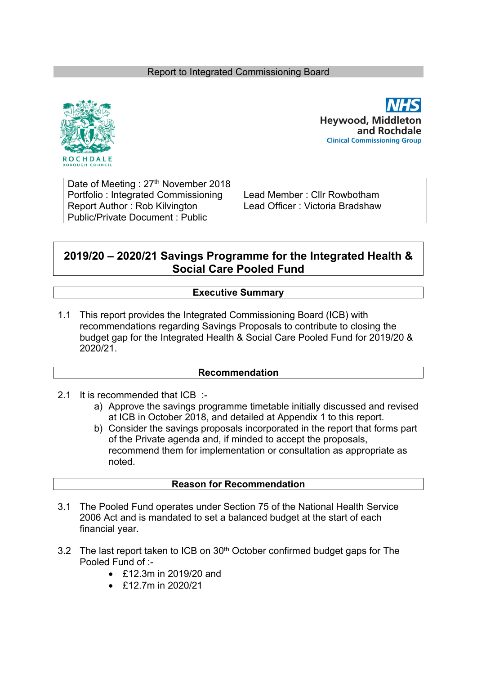### Report to Integrated Commissioning Board



**Hevwood, Middleton** and Rochdale **Clinical Commissioning Group** 

Date of Meeting : 27<sup>th</sup> November 2018 Portfolio : Integrated Commissioning Lead Member : Cllr Rowbotham Report Author: Rob Kilvington Lead Officer: Victoria Bradshaw Public/Private Document : Public

# **2019/20 – 2020/21 Savings Programme for the Integrated Health & Social Care Pooled Fund**

### **Executive Summary**

1.1 This report provides the Integrated Commissioning Board (ICB) with recommendations regarding Savings Proposals to contribute to closing the budget gap for the Integrated Health & Social Care Pooled Fund for 2019/20 & 2020/21.

#### **Recommendation**

- 2.1 It is recommended that ICB :
	- a) Approve the savings programme timetable initially discussed and revised at ICB in October 2018, and detailed at Appendix 1 to this report.
	- b) Consider the savings proposals incorporated in the report that forms part of the Private agenda and, if minded to accept the proposals, recommend them for implementation or consultation as appropriate as noted.

#### **Reason for Recommendation**

- 3.1 The Pooled Fund operates under Section 75 of the National Health Service 2006 Act and is mandated to set a balanced budget at the start of each financial year.
- 3.2 The last report taken to ICB on 30<sup>th</sup> October confirmed budget gaps for The Pooled Fund of :-
	- £12.3m in 2019/20 and
	- $\div$  £12.7m in 2020/21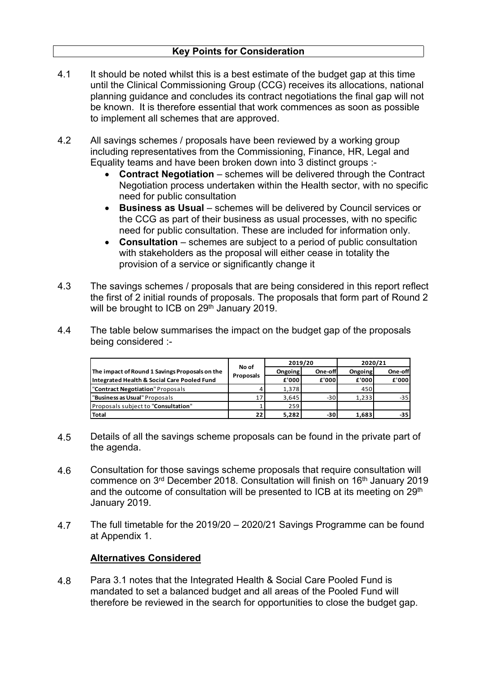- 4.1 It should be noted whilst this is a best estimate of the budget gap at this time until the Clinical Commissioning Group (CCG) receives its allocations, national planning guidance and concludes its contract negotiations the final gap will not be known. It is therefore essential that work commences as soon as possible to implement all schemes that are approved.
- 4.2 All savings schemes / proposals have been reviewed by a working group including representatives from the Commissioning, Finance, HR, Legal and Equality teams and have been broken down into 3 distinct groups :-
	- **Contract Negotiation** schemes will be delivered through the Contract Negotiation process undertaken within the Health sector, with no specific need for public consultation
	- **Business as Usual** schemes will be delivered by Council services or the CCG as part of their business as usual processes, with no specific need for public consultation. These are included for information only.
	- **Consultation** schemes are subject to a period of public consultation with stakeholders as the proposal will either cease in totality the provision of a service or significantly change it
- 4.3 The savings schemes / proposals that are being considered in this report reflect the first of 2 initial rounds of proposals. The proposals that form part of Round 2 will be brought to ICB on 29<sup>th</sup> January 2019.
- 4.4 The table below summarises the impact on the budget gap of the proposals being considered :-

|                                                |                 | 2019/20 |         | 2020/21 |         |
|------------------------------------------------|-----------------|---------|---------|---------|---------|
| The impact of Round 1 Savings Proposals on the | No of           | Ongoing | One-off | Ongoing | One-off |
| Integrated Health & Social Care Pooled Fund    | Proposals       | £'000   | £'000   | £'000   | £'000   |
| "Contract Negotiation" Proposals               |                 | 1,378   |         | 450     |         |
| "Business as Usual" Proposals                  | 17 <sub>1</sub> | 3,645   | $-30$   | 1,233   | $-35$   |
| Proposals subject to "Consultation"            |                 | 259     |         |         |         |
| <b>Total</b>                                   | 221             | 5,282   | -30     | 1,683   | $-35$   |

- 4.5 Details of all the savings scheme proposals can be found in the private part of the agenda.
- 4.6 Consultation for those savings scheme proposals that require consultation will commence on 3<sup>rd</sup> December 2018. Consultation will finish on 16<sup>th</sup> January 2019 and the outcome of consultation will be presented to ICB at its meeting on  $29<sup>th</sup>$ January 2019.
- 4.7 The full timetable for the 2019/20 – 2020/21 Savings Programme can be found at Appendix 1.

## **Alternatives Considered**

4.8 Para 3.1 notes that the Integrated Health & Social Care Pooled Fund is mandated to set a balanced budget and all areas of the Pooled Fund will therefore be reviewed in the search for opportunities to close the budget gap.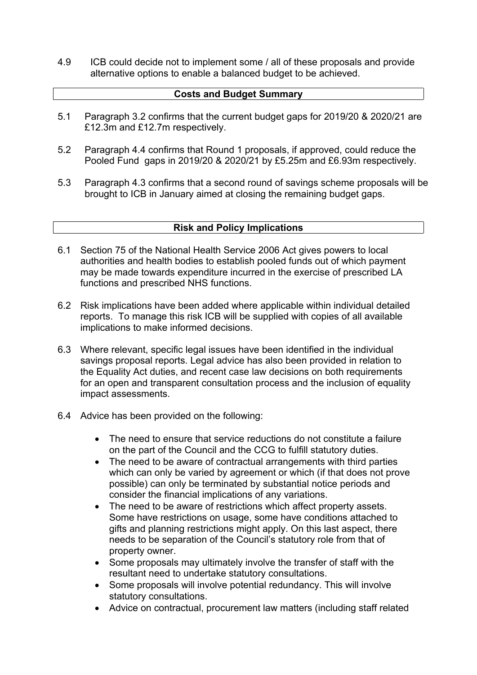4.9 ICB could decide not to implement some / all of these proposals and provide alternative options to enable a balanced budget to be achieved.

### **Costs and Budget Summary**

- 5.1 Paragraph 3.2 confirms that the current budget gaps for 2019/20 & 2020/21 are £12.3m and £12.7m respectively.
- 5.2 Paragraph 4.4 confirms that Round 1 proposals, if approved, could reduce the Pooled Fund gaps in 2019/20 & 2020/21 by £5.25m and £6.93m respectively.
- 5.3 Paragraph 4.3 confirms that a second round of savings scheme proposals will be brought to ICB in January aimed at closing the remaining budget gaps.

#### **Risk and Policy Implications**

- 6.1 Section 75 of the National Health Service 2006 Act gives powers to local authorities and health bodies to establish pooled funds out of which payment may be made towards expenditure incurred in the exercise of prescribed LA functions and prescribed NHS functions.
- 6.2 Risk implications have been added where applicable within individual detailed reports. To manage this risk ICB will be supplied with copies of all available implications to make informed decisions.
- 6.3 Where relevant, specific legal issues have been identified in the individual savings proposal reports. Legal advice has also been provided in relation to the Equality Act duties, and recent case law decisions on both requirements for an open and transparent consultation process and the inclusion of equality impact assessments.
- 6.4 Advice has been provided on the following:
	- The need to ensure that service reductions do not constitute a failure on the part of the Council and the CCG to fulfill statutory duties.
	- The need to be aware of contractual arrangements with third parties which can only be varied by agreement or which (if that does not prove possible) can only be terminated by substantial notice periods and consider the financial implications of any variations.
	- The need to be aware of restrictions which affect property assets. Some have restrictions on usage, some have conditions attached to gifts and planning restrictions might apply. On this last aspect, there needs to be separation of the Council's statutory role from that of property owner.
	- Some proposals may ultimately involve the transfer of staff with the resultant need to undertake statutory consultations.
	- Some proposals will involve potential redundancy. This will involve statutory consultations.
	- Advice on contractual, procurement law matters (including staff related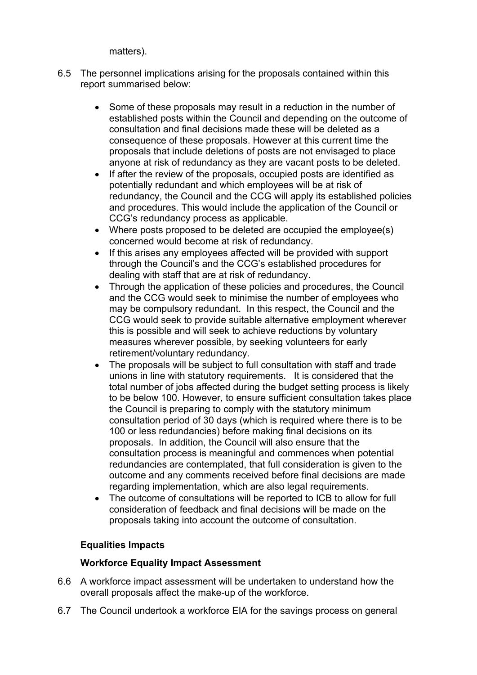matters).

- 6.5 The personnel implications arising for the proposals contained within this report summarised below:
	- Some of these proposals may result in a reduction in the number of established posts within the Council and depending on the outcome of consultation and final decisions made these will be deleted as a consequence of these proposals. However at this current time the proposals that include deletions of posts are not envisaged to place anyone at risk of redundancy as they are vacant posts to be deleted.
	- If after the review of the proposals, occupied posts are identified as potentially redundant and which employees will be at risk of redundancy, the Council and the CCG will apply its established policies and procedures. This would include the application of the Council or CCG's redundancy process as applicable.
	- Where posts proposed to be deleted are occupied the employee(s) concerned would become at risk of redundancy.
	- If this arises any employees affected will be provided with support through the Council's and the CCG's established procedures for dealing with staff that are at risk of redundancy.
	- Through the application of these policies and procedures, the Council and the CCG would seek to minimise the number of employees who may be compulsory redundant. In this respect, the Council and the CCG would seek to provide suitable alternative employment wherever this is possible and will seek to achieve reductions by voluntary measures wherever possible, by seeking volunteers for early retirement/voluntary redundancy.
	- The proposals will be subject to full consultation with staff and trade unions in line with statutory requirements. It is considered that the total number of jobs affected during the budget setting process is likely to be below 100. However, to ensure sufficient consultation takes place the Council is preparing to comply with the statutory minimum consultation period of 30 days (which is required where there is to be 100 or less redundancies) before making final decisions on its proposals. In addition, the Council will also ensure that the consultation process is meaningful and commences when potential redundancies are contemplated, that full consideration is given to the outcome and any comments received before final decisions are made regarding implementation, which are also legal requirements.
	- The outcome of consultations will be reported to ICB to allow for full consideration of feedback and final decisions will be made on the proposals taking into account the outcome of consultation.

# **Equalities Impacts**

## **Workforce Equality Impact Assessment**

- 6.6 A workforce impact assessment will be undertaken to understand how the overall proposals affect the make-up of the workforce.
- 6.7 The Council undertook a workforce EIA for the savings process on general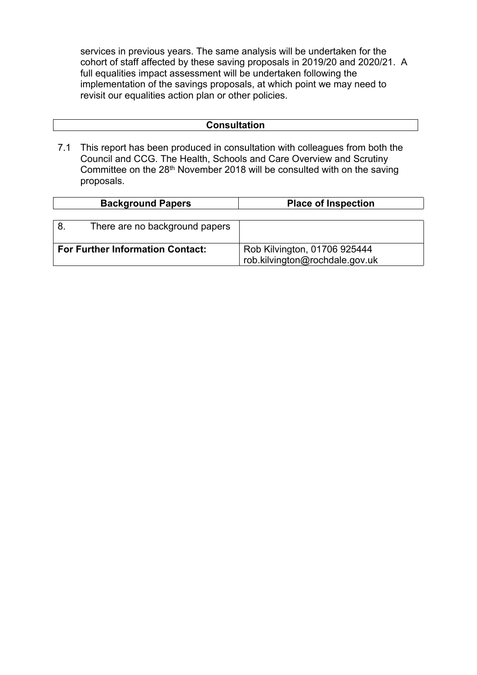services in previous years. The same analysis will be undertaken for the cohort of staff affected by these saving proposals in 2019/20 and 2020/21. A full equalities impact assessment will be undertaken following the implementation of the savings proposals, at which point we may need to revisit our equalities action plan or other policies.

7.1 This report has been produced in consultation with colleagues from both the Council and CCG. The Health, Schools and Care Overview and Scrutiny Committee on the 28th November 2018 will be consulted with on the saving proposals.

|                                         | <b>Background Papers</b>       | <b>Place of Inspection</b>     |
|-----------------------------------------|--------------------------------|--------------------------------|
|                                         |                                |                                |
| 8                                       | There are no background papers |                                |
|                                         |                                |                                |
| <b>For Further Information Contact:</b> |                                | Rob Kilvington, 01706 925444   |
|                                         |                                | rob.kilvington@rochdale.gov.uk |